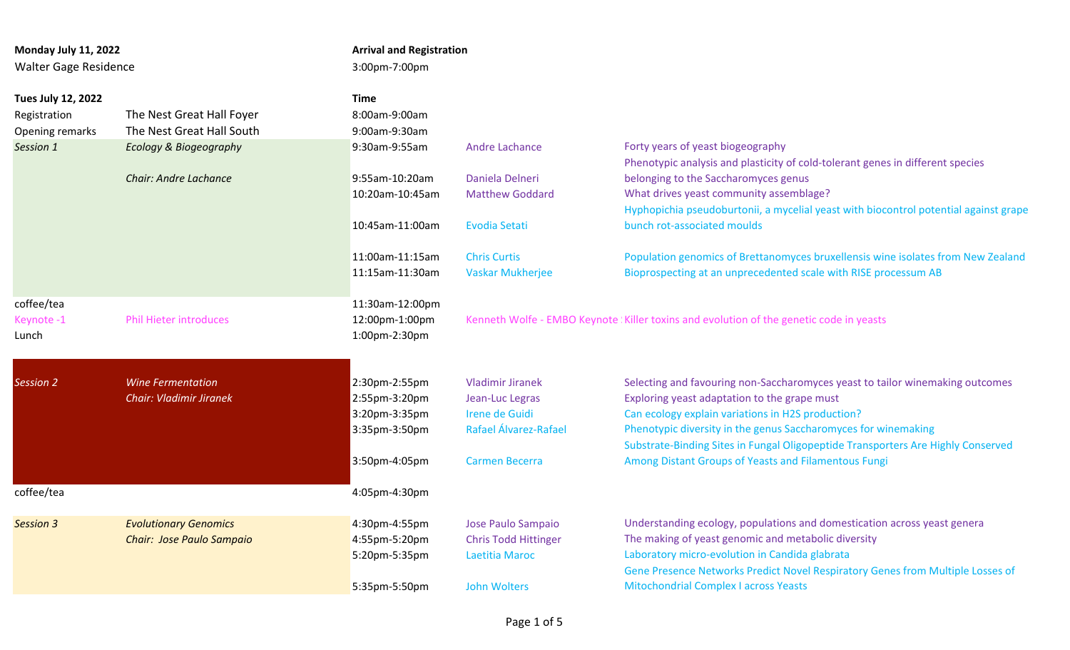| Monday July 11, 2022<br><b>Walter Gage Residence</b> |                                | 3:00pm-7:00pm   | <b>Arrival and Registration</b> |                                                                                          |  |  |
|------------------------------------------------------|--------------------------------|-----------------|---------------------------------|------------------------------------------------------------------------------------------|--|--|
| Tues July 12, 2022                                   |                                | <b>Time</b>     |                                 |                                                                                          |  |  |
| Registration                                         | The Nest Great Hall Foyer      | 8:00am-9:00am   |                                 |                                                                                          |  |  |
| Opening remarks                                      | The Nest Great Hall South      | 9:00am-9:30am   |                                 |                                                                                          |  |  |
| Session 1                                            | Ecology & Biogeography         | 9:30am-9:55am   | <b>Andre Lachance</b>           | Forty years of yeast biogeography                                                        |  |  |
|                                                      |                                |                 |                                 | Phenotypic analysis and plasticity of cold-tolerant genes in different species           |  |  |
|                                                      | <b>Chair: Andre Lachance</b>   | 9:55am-10:20am  | Daniela Delneri                 | belonging to the Saccharomyces genus                                                     |  |  |
|                                                      |                                | 10:20am-10:45am | <b>Matthew Goddard</b>          | What drives yeast community assemblage?                                                  |  |  |
|                                                      |                                |                 |                                 | Hyphopichia pseudoburtonii, a mycelial yeast with biocontrol potential against grape     |  |  |
|                                                      |                                | 10:45am-11:00am | <b>Evodia Setati</b>            | bunch rot-associated moulds                                                              |  |  |
|                                                      |                                | 11:00am-11:15am | <b>Chris Curtis</b>             | Population genomics of Brettanomyces bruxellensis wine isolates from New Zealand         |  |  |
|                                                      |                                | 11:15am-11:30am | <b>Vaskar Mukherjee</b>         | Bioprospecting at an unprecedented scale with RISE processum AB                          |  |  |
| coffee/tea                                           |                                | 11:30am-12:00pm |                                 |                                                                                          |  |  |
| Keynote-1                                            | <b>Phil Hieter introduces</b>  | 12:00pm-1:00pm  |                                 | Kenneth Wolfe - EMBO Keynote ! Killer toxins and evolution of the genetic code in yeasts |  |  |
| Lunch                                                |                                | 1:00pm-2:30pm   |                                 |                                                                                          |  |  |
|                                                      |                                |                 |                                 |                                                                                          |  |  |
| <b>Session 2</b>                                     | <b>Wine Fermentation</b>       | 2:30pm-2:55pm   | <b>Vladimir Jiranek</b>         | Selecting and favouring non-Saccharomyces yeast to tailor winemaking outcomes            |  |  |
|                                                      | <b>Chair: Vladimir Jiranek</b> | 2:55pm-3:20pm   | Jean-Luc Legras                 | Exploring yeast adaptation to the grape must                                             |  |  |
|                                                      |                                | 3:20pm-3:35pm   | Irene de Guidi                  | Can ecology explain variations in H2S production?                                        |  |  |
|                                                      |                                | 3:35pm-3:50pm   | Rafael Álvarez-Rafael           | Phenotypic diversity in the genus Saccharomyces for winemaking                           |  |  |
|                                                      |                                |                 |                                 | Substrate-Binding Sites in Fungal Oligopeptide Transporters Are Highly Conserved         |  |  |
|                                                      |                                | 3:50pm-4:05pm   | <b>Carmen Becerra</b>           | Among Distant Groups of Yeasts and Filamentous Fungi                                     |  |  |
| coffee/tea                                           |                                | 4:05pm-4:30pm   |                                 |                                                                                          |  |  |
| <b>Session 3</b>                                     | <b>Evolutionary Genomics</b>   | 4:30pm-4:55pm   | Jose Paulo Sampaio              | Understanding ecology, populations and domestication across yeast genera                 |  |  |
|                                                      | Chair: Jose Paulo Sampaio      | 4:55pm-5:20pm   | <b>Chris Todd Hittinger</b>     | The making of yeast genomic and metabolic diversity                                      |  |  |
|                                                      |                                | 5:20pm-5:35pm   | Laetitia Maroc                  | Laboratory micro-evolution in Candida glabrata                                           |  |  |
|                                                      |                                |                 |                                 | Gene Presence Networks Predict Novel Respiratory Genes from Multiple Losses of           |  |  |
|                                                      |                                | 5:35pm-5:50pm   | <b>John Wolters</b>             | <b>Mitochondrial Complex I across Yeasts</b>                                             |  |  |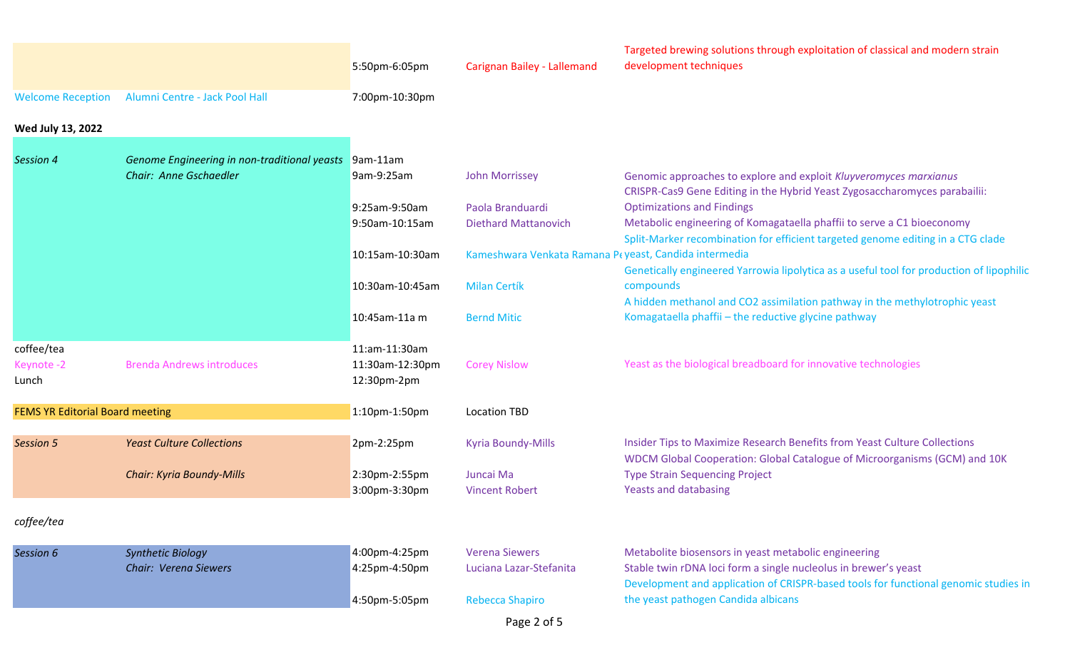|                                        |                                                                        | 5:50pm-6:05pm                                   | Carignan Bailey - Lallemand                           | Targeted brewing solutions through exploitation of classical and modern strain<br>development techniques                                                                                                       |
|----------------------------------------|------------------------------------------------------------------------|-------------------------------------------------|-------------------------------------------------------|----------------------------------------------------------------------------------------------------------------------------------------------------------------------------------------------------------------|
| <b>Welcome Reception</b>               | Alumni Centre - Jack Pool Hall                                         | 7:00pm-10:30pm                                  |                                                       |                                                                                                                                                                                                                |
| Wed July 13, 2022                      |                                                                        |                                                 |                                                       |                                                                                                                                                                                                                |
| Session 4                              | Genome Engineering in non-traditional yeasts<br>Chair: Anne Gschaedler | $9am-11am$<br>9am-9:25am                        | <b>John Morrissey</b>                                 | Genomic approaches to explore and exploit Kluyveromyces marxianus<br>CRISPR-Cas9 Gene Editing in the Hybrid Yeast Zygosaccharomyces parabailii:                                                                |
|                                        |                                                                        | 9:25am-9:50am<br>9:50am-10:15am                 | Paola Branduardi<br><b>Diethard Mattanovich</b>       | <b>Optimizations and Findings</b><br>Metabolic engineering of Komagataella phaffii to serve a C1 bioeconomy<br>Split-Marker recombination for efficient targeted genome editing in a CTG clade                 |
|                                        |                                                                        | 10:15am-10:30am                                 | Kameshwara Venkata Ramana Peyeast, Candida intermedia | Genetically engineered Yarrowia lipolytica as a useful tool for production of lipophilic                                                                                                                       |
|                                        |                                                                        | 10:30am-10:45am                                 | <b>Milan Certík</b>                                   | compounds<br>A hidden methanol and CO2 assimilation pathway in the methylotrophic yeast                                                                                                                        |
|                                        |                                                                        | 10:45am-11a m                                   | <b>Bernd Mitic</b>                                    | Komagataella phaffii - the reductive glycine pathway                                                                                                                                                           |
| coffee/tea<br>Keynote-2<br>Lunch       | <b>Brenda Andrews introduces</b>                                       | 11:am-11:30am<br>11:30am-12:30pm<br>12:30pm-2pm | <b>Corey Nislow</b>                                   | Yeast as the biological breadboard for innovative technologies                                                                                                                                                 |
| <b>FEMS YR Editorial Board meeting</b> |                                                                        | 1:10pm-1:50pm                                   | <b>Location TBD</b>                                   |                                                                                                                                                                                                                |
| <b>Session 5</b>                       | <b>Yeast Culture Collections</b>                                       | 2pm-2:25pm                                      | <b>Kyria Boundy-Mills</b>                             | Insider Tips to Maximize Research Benefits from Yeast Culture Collections<br>WDCM Global Cooperation: Global Catalogue of Microorganisms (GCM) and 10K                                                         |
|                                        | <b>Chair: Kyria Boundy-Mills</b>                                       | 2:30pm-2:55pm<br>3:00pm-3:30pm                  | Juncai Ma<br><b>Vincent Robert</b>                    | <b>Type Strain Sequencing Project</b><br><b>Yeasts and databasing</b>                                                                                                                                          |
| coffee/tea                             |                                                                        |                                                 |                                                       |                                                                                                                                                                                                                |
| Session 6                              | <b>Synthetic Biology</b><br>Chair: Verena Siewers                      | 4:00pm-4:25pm<br>4:25pm-4:50pm                  | <b>Verena Siewers</b><br>Luciana Lazar-Stefanita      | Metabolite biosensors in yeast metabolic engineering<br>Stable twin rDNA loci form a single nucleolus in brewer's yeast<br>Development and application of CRISPR-based tools for functional genomic studies in |
|                                        |                                                                        | 4:50pm-5:05pm                                   | <b>Rebecca Shapiro</b>                                | the yeast pathogen Candida albicans                                                                                                                                                                            |
|                                        |                                                                        |                                                 | Page 2 of 5                                           |                                                                                                                                                                                                                |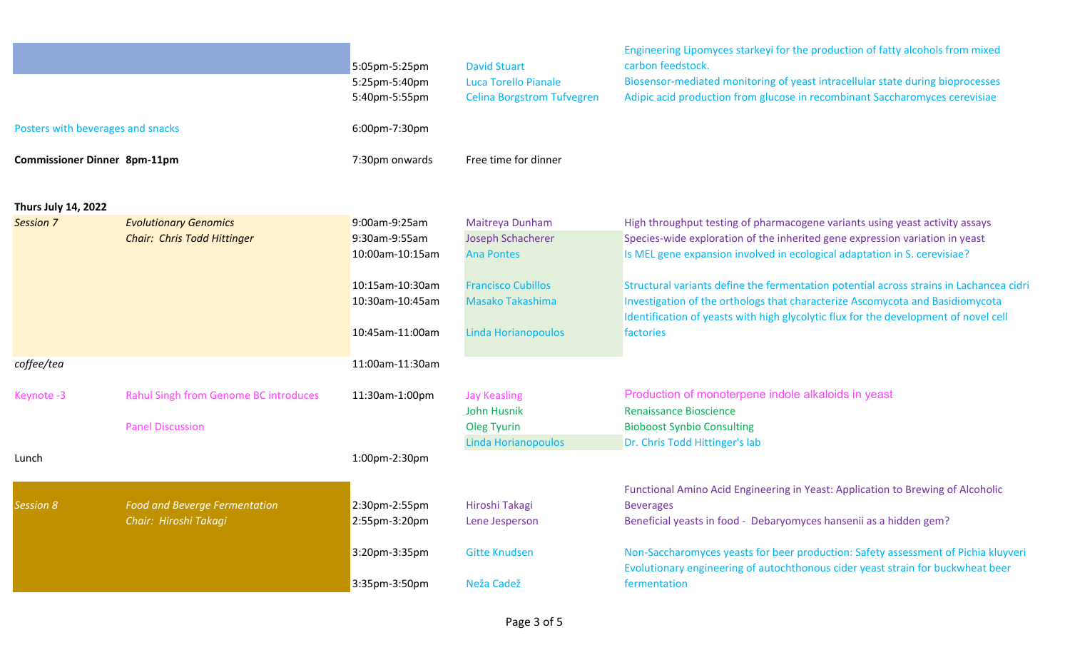|                                     |                                       | 5:05pm-5:25pm<br>5:25pm-5:40pm<br>5:40pm-5:55pm | <b>David Stuart</b><br><b>Luca Torello Pianale</b><br><b>Celina Borgstrom Tufvegren</b> | Engineering Lipomyces starkeyi for the production of fatty alcohols from mixed<br>carbon feedstock.<br>Biosensor-mediated monitoring of yeast intracellular state during bioprocesses<br>Adipic acid production from glucose in recombinant Saccharomyces cerevisiae |
|-------------------------------------|---------------------------------------|-------------------------------------------------|-----------------------------------------------------------------------------------------|----------------------------------------------------------------------------------------------------------------------------------------------------------------------------------------------------------------------------------------------------------------------|
| Posters with beverages and snacks   |                                       | 6:00pm-7:30pm                                   |                                                                                         |                                                                                                                                                                                                                                                                      |
| <b>Commissioner Dinner 8pm-11pm</b> |                                       | 7:30pm onwards                                  | Free time for dinner                                                                    |                                                                                                                                                                                                                                                                      |
| <b>Thurs July 14, 2022</b>          |                                       |                                                 |                                                                                         |                                                                                                                                                                                                                                                                      |
| <b>Session 7</b>                    | <b>Evolutionary Genomics</b>          | 9:00am-9:25am                                   | Maitreya Dunham                                                                         | High throughput testing of pharmacogene variants using yeast activity assays                                                                                                                                                                                         |
|                                     | Chair: Chris Todd Hittinger           | 9:30am-9:55am                                   | Joseph Schacherer                                                                       | Species-wide exploration of the inherited gene expression variation in yeast                                                                                                                                                                                         |
|                                     |                                       | 10:00am-10:15am                                 | <b>Ana Pontes</b>                                                                       | Is MEL gene expansion involved in ecological adaptation in S. cerevisiae?                                                                                                                                                                                            |
|                                     |                                       | 10:15am-10:30am                                 | <b>Francisco Cubillos</b>                                                               | Structural variants define the fermentation potential across strains in Lachancea cidri                                                                                                                                                                              |
|                                     |                                       | 10:30am-10:45am                                 | <b>Masako Takashima</b>                                                                 | Investigation of the orthologs that characterize Ascomycota and Basidiomycota                                                                                                                                                                                        |
|                                     |                                       |                                                 |                                                                                         | Identification of yeasts with high glycolytic flux for the development of novel cell                                                                                                                                                                                 |
|                                     |                                       | 10:45am-11:00am                                 | Linda Horianopoulos                                                                     | factories                                                                                                                                                                                                                                                            |
| coffee/tea                          |                                       | 11:00am-11:30am                                 |                                                                                         |                                                                                                                                                                                                                                                                      |
| Keynote-3                           | Rahul Singh from Genome BC introduces | 11:30am-1:00pm                                  | <b>Jay Keasling</b>                                                                     | Production of monoterpene indole alkaloids in yeast                                                                                                                                                                                                                  |
|                                     |                                       |                                                 | <b>John Husnik</b>                                                                      | <b>Renaissance Bioscience</b>                                                                                                                                                                                                                                        |
|                                     | <b>Panel Discussion</b>               |                                                 | Oleg Tyurin                                                                             | <b>Bioboost Synbio Consulting</b>                                                                                                                                                                                                                                    |
| Lunch                               |                                       | 1:00pm-2:30pm                                   | Linda Horianopoulos                                                                     | Dr. Chris Todd Hittinger's lab                                                                                                                                                                                                                                       |
|                                     |                                       |                                                 |                                                                                         |                                                                                                                                                                                                                                                                      |
|                                     |                                       |                                                 |                                                                                         | Functional Amino Acid Engineering in Yeast: Application to Brewing of Alcoholic                                                                                                                                                                                      |
| <b>Session 8</b>                    | <b>Food and Beverge Fermentation</b>  | 2:30pm-2:55pm                                   | Hiroshi Takagi                                                                          | <b>Beverages</b>                                                                                                                                                                                                                                                     |
|                                     | Chair: Hiroshi Takagi                 | 2:55pm-3:20pm                                   | Lene Jesperson                                                                          | Beneficial yeasts in food - Debaryomyces hansenii as a hidden gem?                                                                                                                                                                                                   |
|                                     |                                       | 3:20pm-3:35pm                                   | <b>Gitte Knudsen</b>                                                                    | Non-Saccharomyces yeasts for beer production: Safety assessment of Pichia kluyveri<br>Evolutionary engineering of autochthonous cider yeast strain for buckwheat beer                                                                                                |
|                                     |                                       | 3:35pm-3:50pm                                   | Neža Cadež                                                                              | fermentation                                                                                                                                                                                                                                                         |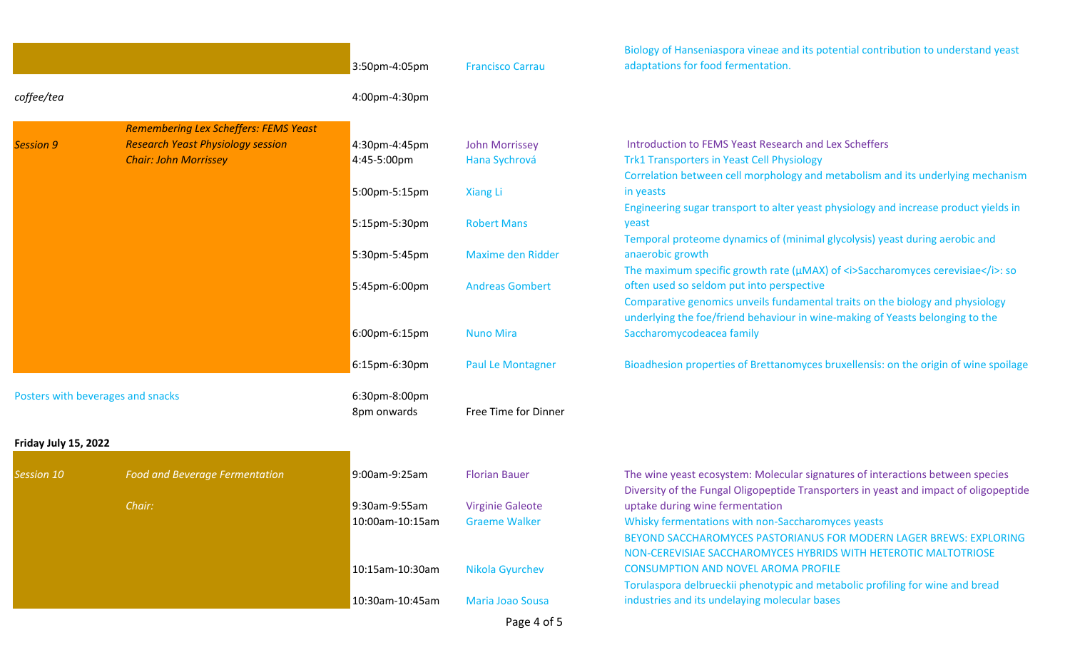|                      |                                              | 3:50pm-4:05pm   | <b>Francisco Carrau</b>  | Biology of Hanseniaspora vineae and its potential contribution to understand yeast<br>adaptations for food fermentation. |
|----------------------|----------------------------------------------|-----------------|--------------------------|--------------------------------------------------------------------------------------------------------------------------|
| coffee/tea           |                                              | 4:00pm-4:30pm   |                          |                                                                                                                          |
|                      | <b>Remembering Lex Scheffers: FEMS Yeast</b> |                 |                          |                                                                                                                          |
| <b>Session 9</b>     | <b>Research Yeast Physiology session</b>     | 4:30pm-4:45pm   | <b>John Morrissey</b>    | Introduction to FEMS Yeast Research and Lex Scheffers                                                                    |
|                      | <b>Chair: John Morrissey</b>                 | 4:45-5:00pm     | Hana Sychrová            | <b>Trk1 Transporters in Yeast Cell Physiology</b>                                                                        |
|                      |                                              |                 |                          | Correlation between cell morphology and metabolism and its underlying mechanism                                          |
|                      |                                              | 5:00pm-5:15pm   | <b>Xiang Li</b>          | in yeasts                                                                                                                |
|                      |                                              |                 |                          | Engineering sugar transport to alter yeast physiology and increase product yields in                                     |
|                      |                                              | 5:15pm-5:30pm   | <b>Robert Mans</b>       | yeast                                                                                                                    |
|                      |                                              |                 |                          | Temporal proteome dynamics of (minimal glycolysis) yeast during aerobic and                                              |
|                      |                                              | 5:30pm-5:45pm   | <b>Maxime den Ridder</b> | anaerobic growth                                                                                                         |
|                      |                                              |                 |                          | The maximum specific growth rate ( $\mu$ MAX) of <i>Saccharomyces cerevisiae</i> >: so                                   |
|                      |                                              | 5:45pm-6:00pm   | <b>Andreas Gombert</b>   | often used so seldom put into perspective                                                                                |
|                      |                                              |                 |                          | Comparative genomics unveils fundamental traits on the biology and physiology                                            |
|                      |                                              |                 |                          | underlying the foe/friend behaviour in wine-making of Yeasts belonging to the                                            |
|                      |                                              | 6:00pm-6:15pm   | <b>Nuno Mira</b>         | Saccharomycodeacea family                                                                                                |
|                      |                                              | 6:15pm-6:30pm   | <b>Paul Le Montagner</b> | Bioadhesion properties of Brettanomyces bruxellensis: on the origin of wine spoilage                                     |
|                      | Posters with beverages and snacks            | 6:30pm-8:00pm   |                          |                                                                                                                          |
|                      |                                              | 8pm onwards     | Free Time for Dinner     |                                                                                                                          |
|                      |                                              |                 |                          |                                                                                                                          |
| Friday July 15, 2022 |                                              |                 |                          |                                                                                                                          |
| Session 10           | <b>Food and Beverage Fermentation</b>        | 9:00am-9:25am   | <b>Florian Bauer</b>     | The wine yeast ecosystem: Molecular signatures of interactions between species                                           |
|                      |                                              |                 |                          | Diversity of the Fungal Oligopeptide Transporters in yeast and impact of oligopeptide                                    |
|                      | Chair:                                       | 9:30am-9:55am   | <b>Virginie Galeote</b>  | uptake during wine fermentation                                                                                          |
|                      |                                              | 10:00am-10:15am | <b>Graeme Walker</b>     | Whisky fermentations with non-Saccharomyces yeasts                                                                       |
|                      |                                              |                 |                          | BEYOND SACCHAROMYCES PASTORIANUS FOR MODERN LAGER BREWS: EXPLORING                                                       |
|                      |                                              |                 |                          | NON-CEREVISIAE SACCHAROMYCES HYBRIDS WITH HETEROTIC MALTOTRIOSE                                                          |
|                      |                                              | 10:15am-10:30am | Nikola Gyurchev          | <b>CONSUMPTION AND NOVEL AROMA PROFILE</b>                                                                               |
|                      |                                              |                 |                          | Torulaspora delbrueckii phenotypic and metabolic profiling for wine and bread                                            |
|                      |                                              | 10:30am-10:45am | <b>Maria Joao Sousa</b>  | industries and its undelaying molecular bases                                                                            |
|                      |                                              |                 | Page 4 of 5              |                                                                                                                          |